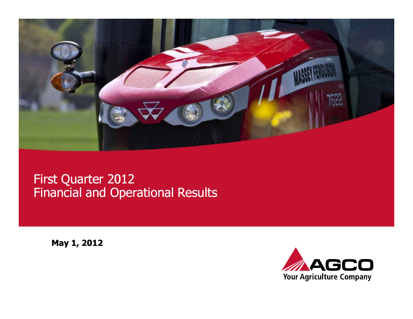

### First Quarter 2012 Financial and Operational Results

May 1, 2012

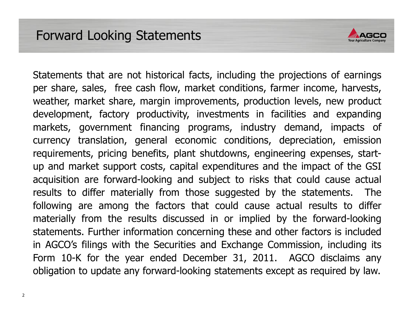

Statements that are not historical facts, including the projections of earnings per share, sales, free cash flow, market conditions, farmer income, harvests, weather, market share, margin improvements, production levels, new product development, factory productivity, investments in facilities and expanding markets, government financing programs, industry demand, impacts of currency translation, general economic conditions, depreciation, emission requirements, pricing benefits, plant shutdowns, engineering expenses, start-<br>up and market support costs, capital expenditures and the impact of the GSI up and market support costs, capital expenditures and the impact of the GSI<br>acquisition are forward-looking and subject to risks that could cause actual<br>results to differ materially from those suggested by the statements.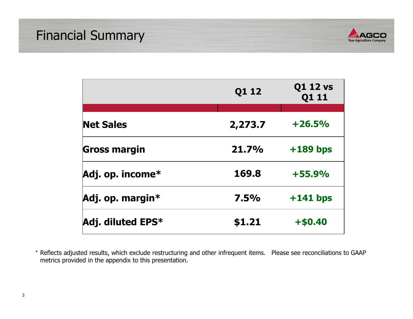

|                     | Q1 12   | <b>Q1 12 vs</b><br>Q1 11 |  |
|---------------------|---------|--------------------------|--|
|                     |         |                          |  |
| <b>Net Sales</b>    | 2,273.7 | $+26.5%$                 |  |
| Gross margin        | 21.7%   | $+189$ bps               |  |
| Adj. op. income*    | 169.8   | $+55.9%$                 |  |
| Adj. op. margin*    | 7.5%    | $+141$ bps               |  |
| Adj. diluted $EPS*$ | \$1.21  | $+ $0.40$                |  |

\* Reflects adjusted results, which exclude restructuring and other infrequent items. Please see reconciliations to GAAP metrics provided in the appendix to this presentation.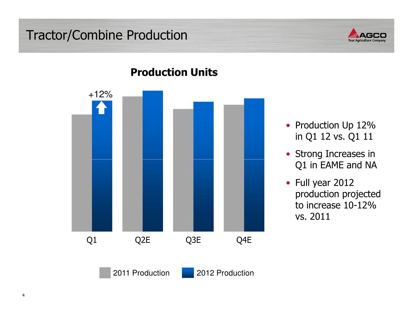### Tractor/Combine Production





### Production Units

- Production Up 12% in Q1 12 vs. Q1 11
- Strong Increases in Q1 in EAME and NA
- Full year 2012 production projected to increase 10-12% vs. 2011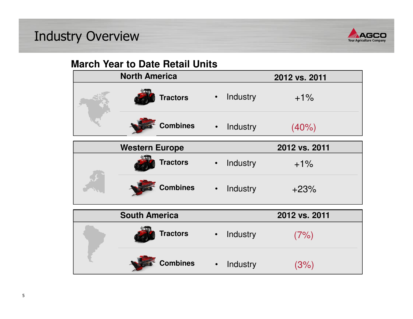# Industry Overview



### **March Year to Date Retail Units**

| <b>North America</b>  |           |          | 2012 vs. 2011 |
|-----------------------|-----------|----------|---------------|
| <b>Tractors</b>       | $\bullet$ | Industry | $+1\%$        |
| <b>Combines</b>       | $\bullet$ | Industry | (40%)         |
| <b>Western Europe</b> |           |          | 2012 vs. 2011 |
| <b>Tractors</b>       | $\bullet$ | Industry | $+1%$         |
| <b>Combines</b> .     |           | Industry | $+23%$        |
| <b>South America</b>  |           |          | 2012 vs. 2011 |
| <b>Tractors</b>       | $\bullet$ | Industry | (7%)          |
| <b>Combines</b>       | $\bullet$ | Industry | (3%)          |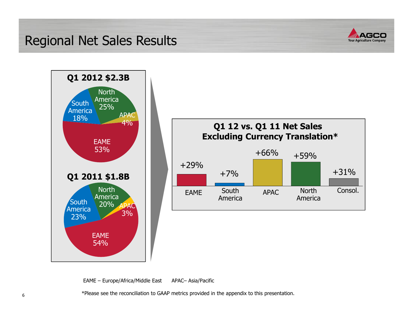### Regional Net Sales Results







EAME – Europe/Africa/Middle East APAC– Asia/Pacific

\*Please see the reconciliation to GAAP metrics provided in the appendix to this presentation.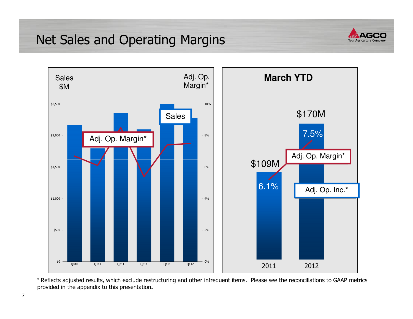### Net Sales and Operating Margins





\* Reflects adjusted results, which exclude restructuring and other infrequent items. Please see the reconciliations to GAAP metrics provided in the appendix to this presentation.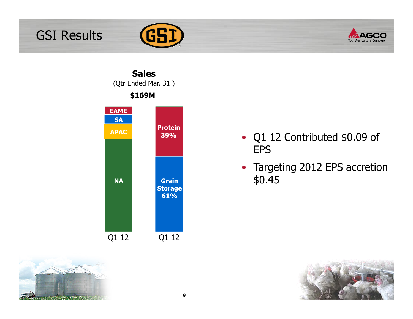







- Q1 12 Contributed \$0.09 of EPS
- Targeting 2012 EPS accretion \$0.45

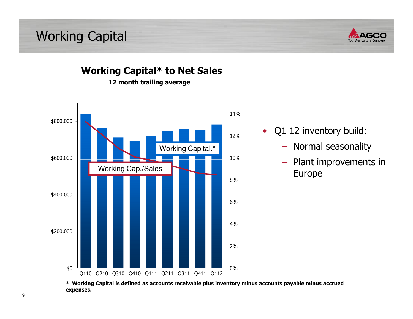Working Capital





Working Capital\* to Net Sales

12 month trailing average

- $\bullet$  Q1 12 inventory build:
	- − Normal seasonality
	- − Plant improvements in

\* Working Capital is defined as accounts receivable plus inventory minus accounts payable minus accrued expenses.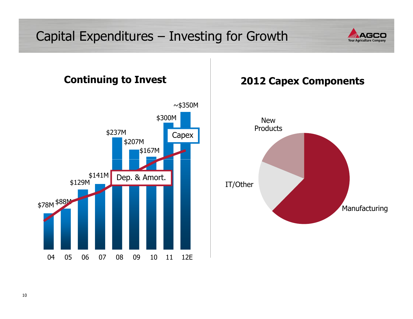# Capital Expenditures – Investing for Growth





### 2012 Capex Components

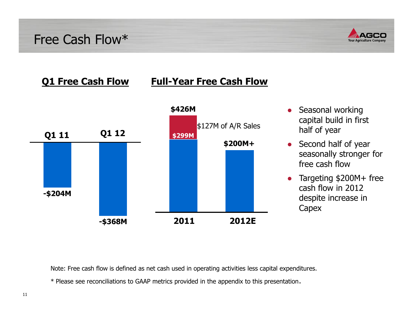Free Cash Flow\*



#### Q1 Free Cash Flow

### Full-Year Free Cash Flow



- ● Seasonal working capital build in first half of year
- Second half of year seasonally stronger for free cash flow
- $\bullet$  Targeting \$200M+ free cash flow in 2012 despite increase in **Capex**

Note: Free cash flow is defined as net cash used in operating activities less capital expenditures.

\* Please see reconciliations to GAAP metrics provided in the appendix to this presentation.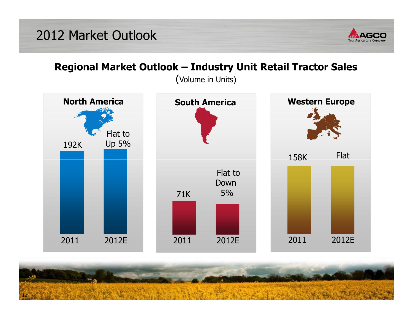

### Regional Market Outlook – Industry Unit Retail Tractor Sales

(Volume in Units)



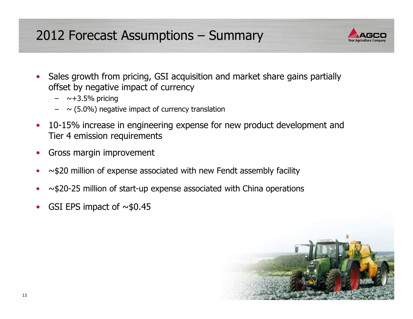# 2012 Forecast Assumptions – Summary



- $\bullet$  Sales growth from pricing, GSI acquisition and market share gains partially offset by negative impact of currency
	- →+3.5% pricing<br>(F. 984 ) essati
	- $\sim$  (5.0%) negative impact of currency translation
- • 10-15% increase in engineering expense for new product development and Tier 4 emission requirements
- •Gross margin improvement
- •~\$20 million of expense associated with new Fendt assembly facility
- •~\$20-25 million of start-up expense associated with China operations
- •GSI EPS impact of  $\sim$ \$0.45

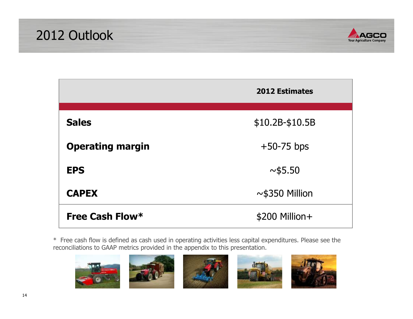



|                         | <b>2012 Estimates</b> |
|-------------------------|-----------------------|
| <b>Sales</b>            | $$10.2B-$10.5B$       |
| <b>Operating margin</b> | $+50-75$ bps          |
| <b>EPS</b>              | ~1.50                 |
| <b>CAPEX</b>            | $\sim$ \$350 Million  |
| Free Cash Flow*         | \$200 Million+        |

\* Free cash flow is defined as cash used in operating activities less capital expenditures. Please see the reconciliations to GAAP metrics provided in the appendix to this presentation.







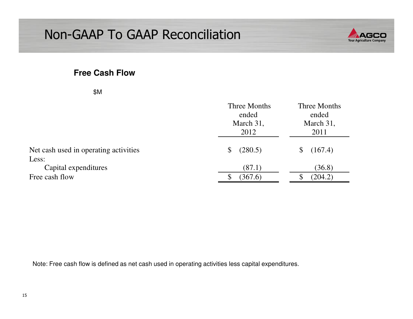

#### **Free Cash Flow**

| ×<br>I<br>×<br>۰. |  |
|-------------------|--|
|-------------------|--|

|                                       | Three Months<br>ended<br>March 31,<br>2012 | <b>Three Months</b><br>ended<br>March 31,<br>2011 |
|---------------------------------------|--------------------------------------------|---------------------------------------------------|
| Net cash used in operating activities | (280.5)<br>\$                              | (167.4)                                           |
| Less:                                 |                                            |                                                   |
| Capital expenditures                  | (87.1)                                     | (36.8)                                            |
| Free cash flow                        | (367.6)                                    | (204.2)                                           |

Note: Free cash flow is defined as net cash used in operating activities less capital expenditures.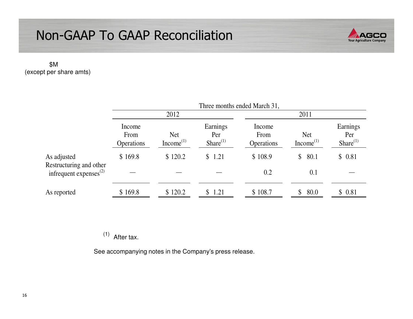

\$M (except per share amts)

|                                                         | Three months ended March 31, |                                     |                                   |                              |                                     |                                   |  |
|---------------------------------------------------------|------------------------------|-------------------------------------|-----------------------------------|------------------------------|-------------------------------------|-----------------------------------|--|
|                                                         | 2012                         |                                     |                                   | 2011                         |                                     |                                   |  |
|                                                         | Income<br>From<br>Operations | <b>Net</b><br>Income <sup>(1)</sup> | Earnings<br>Per<br>Share $^{(1)}$ | Income<br>From<br>Operations | <b>Net</b><br>Income <sup>(1)</sup> | Earnings<br>Per<br>Share $^{(1)}$ |  |
| As adjusted                                             | \$169.8                      | \$120.2                             | \$1.21                            | \$108.9                      | 80.1<br>$\mathbb{S}$                | \$0.81                            |  |
| Restructuring and other<br>infrequent expenses $^{(2)}$ |                              |                                     |                                   | 0.2                          | 0.1                                 |                                   |  |
| As reported                                             | \$169.8                      | \$120.2                             | \$1.21                            | \$108.7                      | 80.0<br>\$                          | \$0.81                            |  |

 $(1)$  After tax.

See accompanying notes in the Company's press release.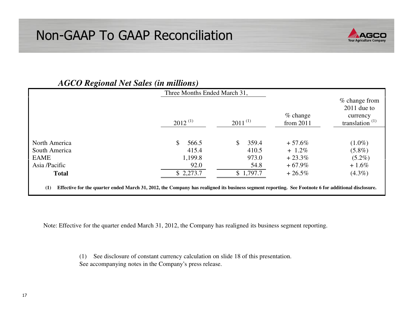

| $-9.0$                                                                                                                                                     | Three Months Ended March 31, |              |                            |                                                                   |
|------------------------------------------------------------------------------------------------------------------------------------------------------------|------------------------------|--------------|----------------------------|-------------------------------------------------------------------|
|                                                                                                                                                            | $2012^{(1)}$                 | $2011^{(1)}$ | $\%$ change<br>from $2011$ | $%$ change from<br>$2011$ due to<br>currency<br>translation $(1)$ |
|                                                                                                                                                            |                              |              |                            |                                                                   |
| North America                                                                                                                                              | \$<br>566.5                  | \$<br>359.4  | $+57.6%$                   | $(1.0\%)$                                                         |
| South America                                                                                                                                              | 415.4                        | 410.5        | $+ 1.2\%$                  | $(5.8\%)$                                                         |
| <b>EAME</b>                                                                                                                                                | 1,199.8                      | 973.0        | $+23.3%$                   | $(5.2\%)$                                                         |
| Asia /Pacific                                                                                                                                              | 92.0                         | 54.8         | $+67.9\%$                  | $+1.6\%$                                                          |
| <b>Total</b>                                                                                                                                               | \$2,273.7                    | \$1,797.7    | $+26.5%$                   | $(4.3\%)$                                                         |
| Effective for the quarter ended March 31, 2012, the Company has realigned its business segment reporting. See Footnote 6 for additional disclosure.<br>(1) |                              |              |                            |                                                                   |

### *AGCO Regional Net Sales (in millions)*

Note: Effective for the quarter ended March 31, 2012, the Company has realigned its business segment reporting.

(1) See disclosure of constant currency calculation on slide 18 of this presentation. See accompanying notes in the Company's press release.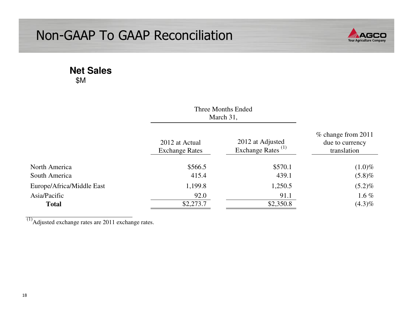

#### **Net Sales**\$M

|                           |                                         | Three Months Ended<br>March 31,                   |           |  |
|---------------------------|-----------------------------------------|---------------------------------------------------|-----------|--|
|                           | 2012 at Actual<br><b>Exchange Rates</b> | 2012 at Adjusted<br>Exchange Rates <sup>(1)</sup> |           |  |
| North America             | \$566.5                                 | \$570.1                                           | $(1.0)\%$ |  |
| South America             | 415.4                                   | 439.1                                             | $(5.8)\%$ |  |
| Europe/Africa/Middle East | 1,199.8                                 | 1,250.5                                           | $(5.2)\%$ |  |
| Asia/Pacific              | 92.0                                    | 91.1                                              | 1.6 $%$   |  |
| <b>Total</b>              | \$2,273.7                               | \$2,350.8                                         | $(4.3)\%$ |  |

 $\overline{^{(1)}}$ Adjusted exchange rates are 2011 exchange rates.